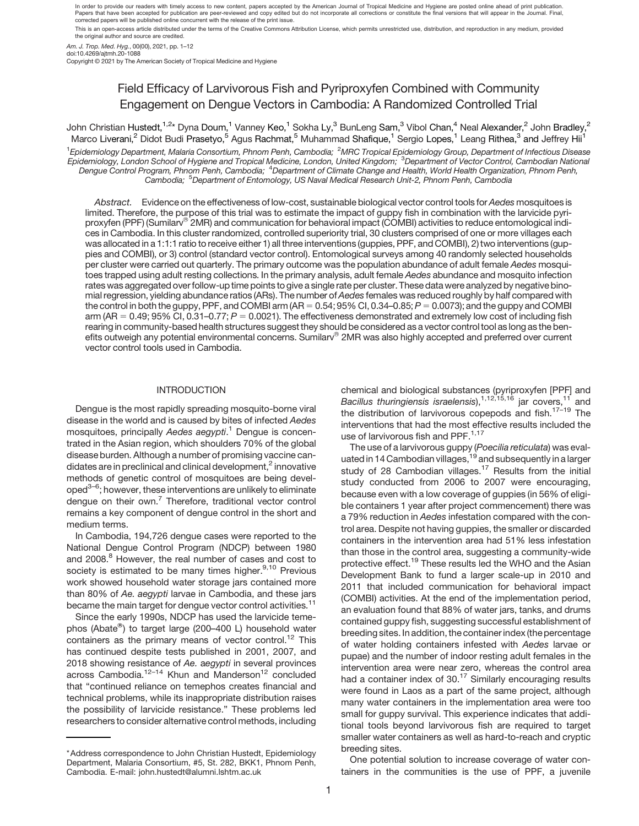In order to provide our readers with timely access to new content, papers accepted by the American Journal of Tropical Medicine and Hygiene are posted online ahead of print publication. Papers that have been accepted for publication are peer-reviewed and copy edited but do not incorporate all corrections or constitute the final versions that will appear in the Journal. Final,<br>corrected papers will be publ

This is an open-access article distributed under the terms of the Creative Commons Attribution License, which permits unrestricted use, distribution, and reproduction in any medium, provided the original author and source are credited.

Am. J. Trop. Med. Hyg., 00(00), 2021, pp. 1–12

doi:10.4269/ajtmh.20-1088

Copyright © 2021 by The American Society of Tropical Medicine and Hygiene

# Field Efficacy of Larvivorous Fish and Pyriproxyfen Combined with Community Engagement on Dengue Vectors in Cambodia: A Randomized Controlled Trial

John Christian Hustedt,<sup>1,2</sup>\* Dyna Doum,<sup>1</sup> Vanney Keo,<sup>1</sup> Sokha Ly,<sup>3</sup> BunLeng Sam,<sup>3</sup> Vibol Chan,<sup>4</sup> Neal Alexander,<sup>2</sup> John Bradley,<sup>2</sup> Marco Liverani,<sup>2</sup> Didot Budi Prasetyo,<sup>5</sup> Agus Rachmat,<sup>5</sup> Muhammad Shafique,<sup>1</sup> Sergio Lopes,<sup>1</sup> Leang Rithea,<sup>3</sup> and Jeffrey Hii<sup>1</sup> 1Epidemiology Department, Malaria Consortium, Phnom Penh, Cambodia; <sup>2</sup>MRC Tropical Epidemiology Group, Department of Infectious Disease Epidemiology, London School of Hygiene and Tropical Medicine, London, United Kingdom; <sup>3</sup>Department of Vector Control, Cambodian National Dengue Control Program, Phnom Penh, Cambodia; <sup>4</sup>Department of Climate Change and Health, World Health Organization, Phnom Penh, Cambodia; <sup>5</sup>Department of Entomology, US Naval Medical Research Unit-2, Phnom Penh, Cambodia

Abstract. Evidence on the effectiveness of low-cost, sustainable biological vector control tools for Aedes mosquitoes is limited. Therefore, the purpose of this trial was to estimate the impact of guppy fish in combination with the larvicide pyriproxyfen (PPF) (Sumilarv® 2MR) and communication for behavioral impact (COMBI) activities to reduce entomological indices in Cambodia. In this cluster randomized, controlled superiority trial, 30 clusters comprised of one or more villages each was allocated in a 1:1:1 ratio to receive either 1) all three interventions (guppies, PPF, and COMBI), 2) two interventions (guppies and COMBI), or 3) control (standard vector control). Entomological surveys among 40 randomly selected households per cluster were carried out quarterly. The primary outcome was the population abundance of adult female Aedes mosquitoes trapped using adult resting collections. In the primary analysis, adult female Aedes abundance and mosquito infection rates was aggregated overfollow-up time points to give a single rate per cluster. These data were analyzed by negative binomial regression, yielding abundance ratios (ARs). The number of Aedes females was reduced roughly by half compared with the control in both the guppy, PPF, and COMBI arm  $(AR = 0.54; 95\% \text{ Cl}, 0.34-0.85; P = 0.0073)$ ; and the guppy and COMBI arm (AR = 0.49; 95% CI, 0.31–0.77;  $P = 0.0021$ ). The effectiveness demonstrated and extremely low cost of including fish rearing in community-based health structures suggest they should be considered as a vector control tool as long as the benefits outweigh any potential environmental concerns. Sumilarv® 2MR was also highly accepted and preferred over current vector control tools used in Cambodia.

# INTRODUCTION

Dengue is the most rapidly spreading mosquito-borne viral disease in the world and is caused by bites of infected Aedes mosquitoes, principally Aedes aegypti.<sup>[1](#page-9-0)</sup> Dengue is concentrated in the Asian region, which shoulders 70% of the global disease burden. Although a number of promising vaccine candidates are in preclinical and clinical development, $<sup>2</sup>$  $<sup>2</sup>$  $<sup>2</sup>$  innovative</sup> methods of genetic control of mosquitoes are being devel-oped<sup>3[–](#page-9-0)[6](#page-9-0)</sup>; however, these interventions are unlikely to eliminate dengue on their own. $<sup>7</sup>$  $<sup>7</sup>$  $<sup>7</sup>$  Therefore, traditional vector control</sup> remains a key component of dengue control in the short and medium terms.

In Cambodia, 194,726 dengue cases were reported to the National Dengue Control Program (NDCP) between 1980 and 2008.<sup>8</sup> However, the real number of cases and cost to society is estimated to be many times higher.<sup>[9,10](#page-9-0)</sup> Previous work showed household water storage jars contained more than 80% of Ae. aegypti larvae in Cambodia, and these jars became the main target for dengue vector control activities.<sup>11</sup>

Since the early 1990s, NDCP has used the larvicide temephos (Abate®) to target large (200–400 L) household water containers as the primary means of vector control.<sup>[12](#page-9-0)</sup> This has continued despite tests published in 2001, 2007, and 2018 showing resistance of Ae. aegypti in several provinces across Cambodia.<sup>12[–](#page-10-0)[14](#page-10-0)</sup> Khun and Manderson<sup>[12](#page-9-0)</sup> concluded that "continued reliance on temephos creates financial and technical problems, while its inappropriate distribution raises the possibility of larvicide resistance." These problems led researchers to consider alternative control methods, including

chemical and biological substances (pyriproxyfen [PPF] and Bacillus thuringiensis israelensis),<sup>[1,12,](#page-9-0)[15,16](#page-10-0)</sup> jar covers,<sup>[11](#page-9-0)</sup> and the distribution of larvivorous copepods and fish.<sup>17-[19](#page-10-0)</sup> The interventions that had the most effective results included the use of larvivorous fish and PPF.<sup>1,[17](#page-10-0)</sup>

The use of a larvivorous guppy (Poecilia reticulata) was eval-uated in 14 Cambodian villages, <sup>[19](#page-10-0)</sup> and subsequently in a larger study of 28 Cambodian villages.<sup>17</sup> Results from the initial study conducted from 2006 to 2007 were encouraging, because even with a low coverage of guppies (in 56% of eligible containers 1 year after project commencement) there was a 79% reduction in Aedes infestation compared with the control area. Despite not having guppies, the smaller or discarded containers in the intervention area had 51% less infestation than those in the control area, suggesting a community-wide protective effect.<sup>[19](#page-10-0)</sup> These results led the WHO and the Asian Development Bank to fund a larger scale-up in 2010 and 2011 that included communication for behavioral impact (COMBI) activities. At the end of the implementation period, an evaluation found that 88% of water jars, tanks, and drums contained guppy fish, suggesting successful establishment of breeding sites. In addition, the container index (the percentage of water holding containers infested with Aedes larvae or pupae) and the number of indoor resting adult females in the intervention area were near zero, whereas the control area had a container index of  $30<sup>17</sup>$  $30<sup>17</sup>$  $30<sup>17</sup>$  Similarly encouraging results were found in Laos as a part of the same project, although many water containers in the implementation area were too small for guppy survival. This experience indicates that additional tools beyond larvivorous fish are required to target smaller water containers as well as hard-to-reach and cryptic breeding sites.

One potential solution to increase coverage of water containers in the communities is the use of PPF, a juvenile

<sup>\*</sup>Address correspondence to John Christian Hustedt, Epidemiology Department, Malaria Consortium, #5, St. 282, BKK1, Phnom Penh, Cambodia. E-mail: [john.hustedt@alumni.lshtm.ac.uk](mailto:john.hustedt@alumni.lshtm.ac.uk)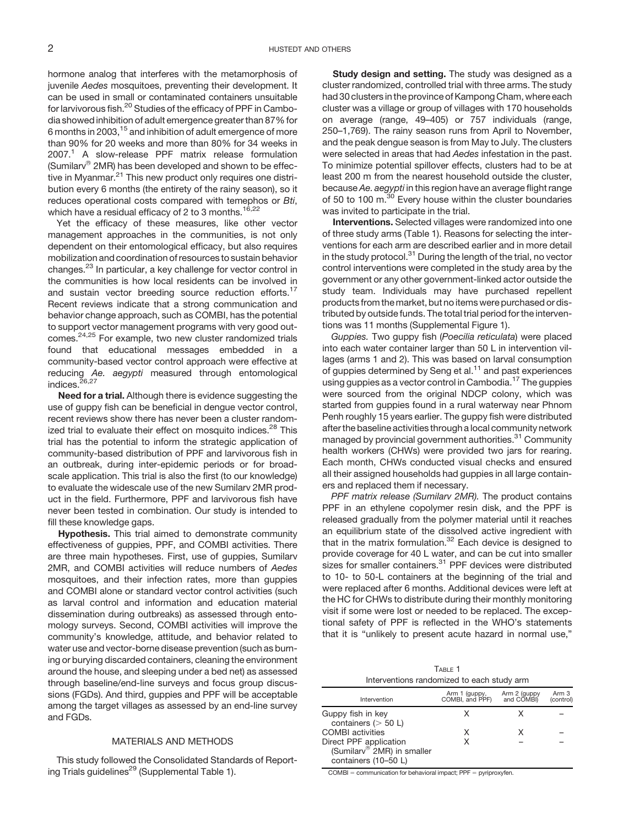hormone analog that interferes with the metamorphosis of juvenile Aedes mosquitoes, preventing their development. It can be used in small or contaminated containers unsuitable for larvivorous fish.<sup>20</sup> Studies of the efficacy of PPF in Cambodia showed inhibition of adult emergence greater than 87% for 6 months in 2003,[15](#page-10-0) and inhibition of adult emergence of more than 90% for 20 weeks and more than 80% for 34 weeks in  $2007<sup>1</sup>$  A slow-release PPF matrix release formulation (Sumilarv $^{\circledR}$  2MR) has been developed and shown to be effec-tive in Myanmar.<sup>[21](#page-10-0)</sup> This new product only requires one distribution every 6 months (the entirety of the rainy season), so it reduces operational costs compared with temephos or Bti, which have a residual efficacy of 2 to 3 months.<sup>16,22</sup>

Yet the efficacy of these measures, like other vector management approaches in the communities, is not only dependent on their entomological efficacy, but also requires mobilization and coordination of resources to sustain behavior changes.[23](#page-10-0) In particular, a key challenge for vector control in the communities is how local residents can be involved in and sustain vector breeding source reduction efforts.<sup>[17](#page-10-0)</sup> Recent reviews indicate that a strong communication and behavior change approach, such as COMBI, has the potential to support vector management programs with very good outcomes[.24,25](#page-10-0) For example, two new cluster randomized trials found that educational messages embedded in a community-based vector control approach were effective at reducing Ae. aegypti measured through entomological indices.<sup>26,27</sup>

Need for a trial. Although there is evidence suggesting the use of guppy fish can be beneficial in dengue vector control, recent reviews show there has never been a cluster randomized trial to evaluate their effect on mosquito indices.<sup>28</sup> This trial has the potential to inform the strategic application of community-based distribution of PPF and larvivorous fish in an outbreak, during inter-epidemic periods or for broadscale application. This trial is also the first (to our knowledge) to evaluate the widescale use of the new Sumilarv 2MR product in the field. Furthermore, PPF and larvivorous fish have never been tested in combination. Our study is intended to fill these knowledge gaps.

Hypothesis. This trial aimed to demonstrate community effectiveness of guppies, PPF, and COMBI activities. There are three main hypotheses. First, use of guppies, Sumilarv 2MR, and COMBI activities will reduce numbers of Aedes mosquitoes, and their infection rates, more than guppies and COMBI alone or standard vector control activities (such as larval control and information and education material dissemination during outbreaks) as assessed through entomology surveys. Second, COMBI activities will improve the community's knowledge, attitude, and behavior related to water use and vector-borne disease prevention (such as burning or burying discarded containers, cleaning the environment around the house, and sleeping under a bed net) as assessed through baseline/end-line surveys and focus group discussions (FGDs). And third, guppies and PPF will be acceptable among the target villages as assessed by an end-line survey and FGDs.

## MATERIALS AND METHODS

This study followed the Consolidated Standards of Report-ing Trials guidelines<sup>[29](#page-10-0)</sup> (Supplemental Table 1).

Study design and setting. The study was designed as a cluster randomized, controlled trial with three arms. The study had 30 clusters in the province of Kampong Cham, where each cluster was a village or group of villages with 170 households on average (range, 49–405) or 757 individuals (range, 250–1,769). The rainy season runs from April to November, and the peak dengue season is from May to July. The clusters were selected in areas that had Aedes infestation in the past. To minimize potential spillover effects, clusters had to be at least 200 m from the nearest household outside the cluster, because Ae. aegypti in this region have an average flight range of 50 to 100 m.<sup>[30](#page-10-0)</sup> Every house within the cluster boundaries was invited to participate in the trial.

Interventions. Selected villages were randomized into one of three study arms (Table 1). Reasons for selecting the interventions for each arm are described earlier and in more detail in the study protocol.<sup>31</sup> During the length of the trial, no vector control interventions were completed in the study area by the government or any other government-linked actor outside the study team. Individuals may have purchased repellent products from the market, but no items were purchased or distributed by outside funds. The total trial period for the interventions was 11 months (Supplemental Figure 1).

Guppies. Two guppy fish (Poecilia reticulata) were placed into each water container larger than 50 L in intervention villages (arms 1 and 2). This was based on larval consumption of guppies determined by Seng et al. $<sup>11</sup>$  $<sup>11</sup>$  $<sup>11</sup>$  and past experiences</sup> using guppies as a vector control in Cambodia.<sup>[17](#page-10-0)</sup> The guppies were sourced from the original NDCP colony, which was started from guppies found in a rural waterway near Phnom Penh roughly 15 years earlier. The guppy fish were distributed after the baseline activities through a local community network managed by provincial government authorities.<sup>31</sup> Community health workers (CHWs) were provided two jars for rearing. Each month, CHWs conducted visual checks and ensured all their assigned households had guppies in all large containers and replaced them if necessary.

PPF matrix release (Sumilarv 2MR). The product contains PPF in an ethylene copolymer resin disk, and the PPF is released gradually from the polymer material until it reaches an equilibrium state of the dissolved active ingredient with that in the matrix formulation. $32$  Each device is designed to provide coverage for 40 L water, and can be cut into smaller sizes for smaller containers.<sup>[31](#page-10-0)</sup> PPF devices were distributed to 10- to 50-L containers at the beginning of the trial and were replaced after 6 months. Additional devices were left at the HC for CHWs to distribute during their monthly monitoring visit if some were lost or needed to be replaced. The exceptional safety of PPF is reflected in the WHO's statements that it is "unlikely to present acute hazard in normal use,"

| TABLE 1                                    |  |
|--------------------------------------------|--|
| Interventions randomized to each study arm |  |

| Intervention                                                                 | Arm 1 (guppy,<br>COMBI, and PPF) | Arm 2 (guppy<br>and COMBI) | Arm 3<br>(control) |
|------------------------------------------------------------------------------|----------------------------------|----------------------------|--------------------|
| Guppy fish in key<br>containers $(> 50 L)$                                   |                                  |                            |                    |
| <b>COMBI</b> activities                                                      | x                                |                            |                    |
| Direct PPF application<br>(Sumilarv® 2MR) in smaller<br>containers (10-50 L) | x                                |                            |                    |

 $COMBI = communication$  for behavioral impact;  $PPF = pyriproxyfen$ .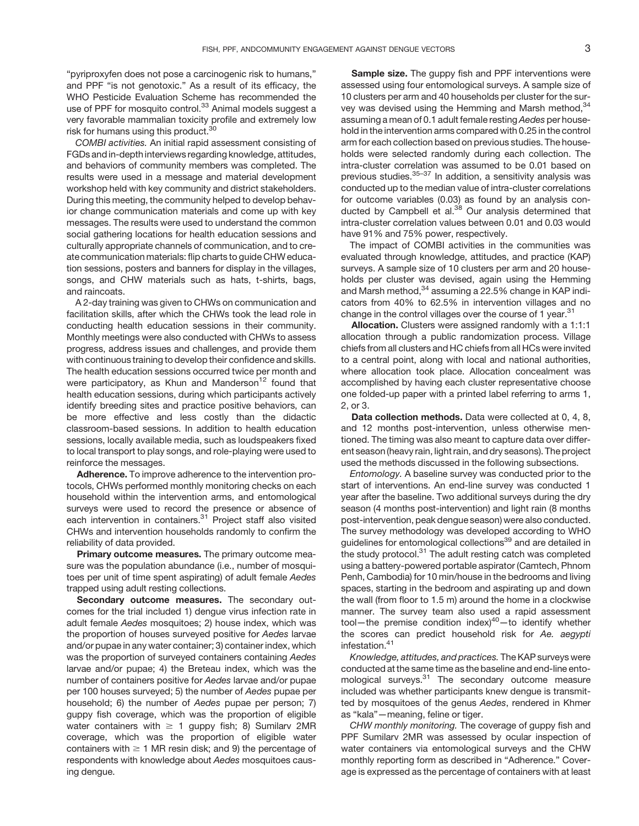"pyriproxyfen does not pose a carcinogenic risk to humans," and PPF "is not genotoxic." As a result of its efficacy, the WHO Pesticide Evaluation Scheme has recommended the use of PPF for mosquito control.<sup>[33](#page-10-0)</sup> Animal models suggest a very favorable mammalian toxicity profile and extremely low risk for humans using this product.<sup>30</sup>

COMBI activities. An initial rapid assessment consisting of FGDs and in-depth interviews regarding knowledge, attitudes, and behaviors of community members was completed. The results were used in a message and material development workshop held with key community and district stakeholders. During this meeting, the community helped to develop behavior change communication materials and come up with key messages. The results were used to understand the common social gathering locations for health education sessions and culturally appropriate channels of communication, and to create communication materials: flip charts to guide CHW education sessions, posters and banners for display in the villages, songs, and CHW materials such as hats, t-shirts, bags, and raincoats.

A 2-day training was given to CHWs on communication and facilitation skills, after which the CHWs took the lead role in conducting health education sessions in their community. Monthly meetings were also conducted with CHWs to assess progress, address issues and challenges, and provide them with continuous training to develop their confidence and skills. The health education sessions occurred twice per month and were participatory, as Khun and Manderson<sup>12</sup> found that health education sessions, during which participants actively identify breeding sites and practice positive behaviors, can be more effective and less costly than the didactic classroom-based sessions. In addition to health education sessions, locally available media, such as loudspeakers fixed to local transport to play songs, and role-playing were used to reinforce the messages.

Adherence. To improve adherence to the intervention protocols, CHWs performed monthly monitoring checks on each household within the intervention arms, and entomological surveys were used to record the presence or absence of each intervention in containers.<sup>31</sup> Project staff also visited CHWs and intervention households randomly to confirm the reliability of data provided.

Primary outcome measures. The primary outcome measure was the population abundance (i.e., number of mosquitoes per unit of time spent aspirating) of adult female Aedes trapped using adult resting collections.

Secondary outcome measures. The secondary outcomes for the trial included 1) dengue virus infection rate in adult female Aedes mosquitoes; 2) house index, which was the proportion of houses surveyed positive for Aedes larvae and/or pupae in any water container; 3) container index, which was the proportion of surveyed containers containing Aedes larvae and/or pupae; 4) the Breteau index, which was the number of containers positive for Aedes larvae and/or pupae per 100 houses surveyed; 5) the number of Aedes pupae per household; 6) the number of Aedes pupae per person; 7) guppy fish coverage, which was the proportion of eligible water containers with  $\geq 1$  guppy fish; 8) Sumilary 2MR coverage, which was the proportion of eligible water containers with  $\geq 1$  MR resin disk; and 9) the percentage of respondents with knowledge about Aedes mosquitoes causing dengue.

Sample size. The guppy fish and PPF interventions were assessed using four entomological surveys. A sample size of 10 clusters per arm and 40 households per cluster for the sur-vey was devised using the Hemming and Marsh method, [34](#page-10-0) assuming a mean of 0.1 adult female resting Aedes per household in the intervention arms compared with 0.25 in the control arm for each collection based on previous studies. The households were selected randomly during each collection. The intra-cluster correlation was assumed to be 0.01 based on previous studies.<sup>35-[37](#page-10-0)</sup> In addition, a sensitivity analysis was conducted up to the median value of intra-cluster correlations for outcome variables (0.03) as found by an analysis con-ducted by Campbell et al.<sup>[38](#page-10-0)</sup> Our analysis determined that intra-cluster correlation values between 0.01 and 0.03 would have 91% and 75% power, respectively.

The impact of COMBI activities in the communities was evaluated through knowledge, attitudes, and practice (KAP) surveys. A sample size of 10 clusters per arm and 20 households per cluster was devised, again using the Hemming and Marsh method,<sup>[34](#page-10-0)</sup> assuming a 22.5% change in KAP indicators from 40% to 62.5% in intervention villages and no change in the control villages over the course of 1 year.<sup>[31](#page-10-0)</sup>

Allocation. Clusters were assigned randomly with a 1:1:1 allocation through a public randomization process. Village chiefs from all clusters and HC chiefs from all HCs were invited to a central point, along with local and national authorities, where allocation took place. Allocation concealment was accomplished by having each cluster representative choose one folded-up paper with a printed label referring to arms 1, 2, or 3.

Data collection methods. Data were collected at 0, 4, 8, and 12 months post-intervention, unless otherwise mentioned. The timing was also meant to capture data over different season (heavy rain, light rain, and dry seasons). The project used the methods discussed in the following subsections.

Entomology. A baseline survey was conducted prior to the start of interventions. An end-line survey was conducted 1 year after the baseline. Two additional surveys during the dry season (4 months post-intervention) and light rain (8 months post-intervention, peak dengue season) were also conducted. The survey methodology was developed according to WHO guidelines for entomological collections<sup>39</sup> and are detailed in the study protocol. $31$  The adult resting catch was completed using a battery-powered portable aspirator (Camtech, Phnom Penh, Cambodia) for 10 min/house in the bedrooms and living spaces, starting in the bedroom and aspirating up and down the wall (from floor to 1.5 m) around the home in a clockwise manner. The survey team also used a rapid assessment tool—the premise condition index) $40-$ to identify whether the scores can predict household risk for Ae. aegypti infestation.<sup>41</sup>

Knowledge, attitudes, and practices. The KAP surveys were conducted at the same time as the baseline and end-line entomological surveys.<sup>31</sup> The secondary outcome measure included was whether participants knew dengue is transmitted by mosquitoes of the genus Aedes, rendered in Khmer as "kala"—meaning, feline or tiger.

CHW monthly monitoring. The coverage of guppy fish and PPF Sumilarv 2MR was assessed by ocular inspection of water containers via entomological surveys and the CHW monthly reporting form as described in "Adherence." Coverage is expressed as the percentage of containers with at least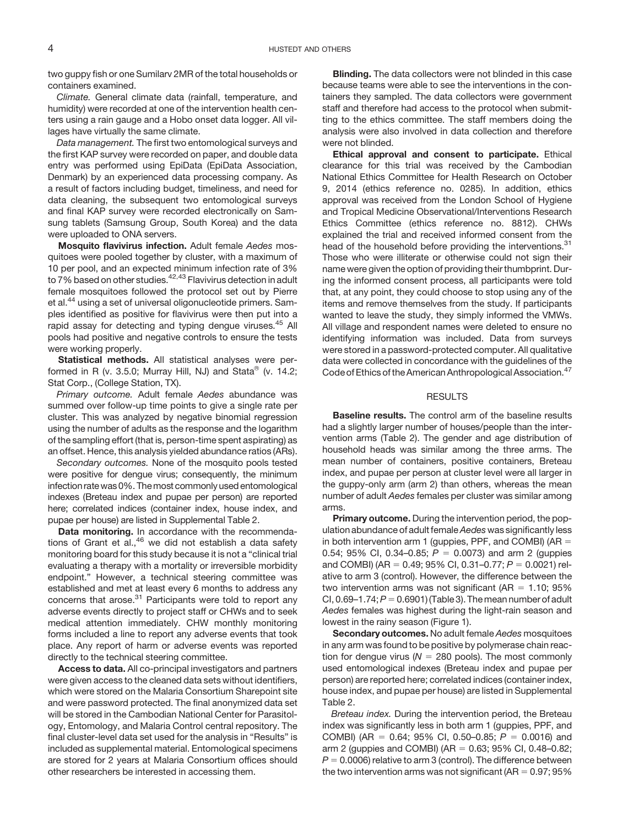two guppy fish or one Sumilarv 2MR of the total households or containers examined.

Climate. General climate data (rainfall, temperature, and humidity) were recorded at one of the intervention health centers using a rain gauge and a Hobo onset data logger. All villages have virtually the same climate.

Data management. The first two entomological surveys and the first KAP survey were recorded on paper, and double data entry was performed using EpiData (EpiData Association, Denmark) by an experienced data processing company. As a result of factors including budget, timeliness, and need for data cleaning, the subsequent two entomological surveys and final KAP survey were recorded electronically on Samsung tablets (Samsung Group, South Korea) and the data were uploaded to ONA servers.

Mosquito flavivirus infection. Adult female Aedes mosquitoes were pooled together by cluster, with a maximum of 10 per pool, and an expected minimum infection rate of 3% to 7% based on other studies.<sup>42,43</sup> Flavivirus detection in adult female mosquitoes followed the protocol set out by Pierre et al.<sup>[44](#page-10-0)</sup> using a set of universal oligonucleotide primers. Samples identified as positive for flavivirus were then put into a rapid assay for detecting and typing dengue viruses.<sup>[45](#page-10-0)</sup> All pools had positive and negative controls to ensure the tests were working properly.

Statistical methods. All statistical analyses were performed in R (v. 3.5.0; Murray Hill, NJ) and Stata $^{\circ\circ}$  (v. 14.2; Stat Corp., (College Station, TX).

Primary outcome. Adult female Aedes abundance was summed over follow-up time points to give a single rate per cluster. This was analyzed by negative binomial regression using the number of adults as the response and the logarithm of the sampling effort (that is, person-time spent aspirating) as an offset. Hence, this analysis yielded abundance ratios (ARs).

Secondary outcomes. None of the mosquito pools tested were positive for dengue virus; consequently, the minimum infection rate was 0%. Themost commonly used entomological indexes (Breteau index and pupae per person) are reported here; correlated indices (container index, house index, and pupae per house) are listed in Supplemental Table 2.

Data monitoring. In accordance with the recommendations of Grant et al.,  $46$  we did not establish a data safety monitoring board for this study because it is not a "clinical trial evaluating a therapy with a mortality or irreversible morbidity endpoint." However, a technical steering committee was established and met at least every 6 months to address any concerns that arose. $31$  Participants were told to report any adverse events directly to project staff or CHWs and to seek medical attention immediately. CHW monthly monitoring forms included a line to report any adverse events that took place. Any report of harm or adverse events was reported directly to the technical steering committee.

Access to data. All co-principal investigators and partners were given access to the cleaned data sets without identifiers, which were stored on the Malaria Consortium Sharepoint site and were password protected. The final anonymized data set will be stored in the Cambodian National Center for Parasitology, Entomology, and Malaria Control central repository. The final cluster-level data set used for the analysis in "Results" is included as supplemental material. Entomological specimens are stored for 2 years at Malaria Consortium offices should other researchers be interested in accessing them.

Blinding. The data collectors were not blinded in this case because teams were able to see the interventions in the containers they sampled. The data collectors were government staff and therefore had access to the protocol when submitting to the ethics committee. The staff members doing the analysis were also involved in data collection and therefore were not blinded.

Ethical approval and consent to participate. Ethical clearance for this trial was received by the Cambodian National Ethics Committee for Health Research on October 9, 2014 (ethics reference no. 0285). In addition, ethics approval was received from the London School of Hygiene and Tropical Medicine Observational/Interventions Research Ethics Committee (ethics reference no. 8812). CHWs explained the trial and received informed consent from the head of the household before providing the interventions.<sup>[31](#page-10-0)</sup> Those who were illiterate or otherwise could not sign their name were given the option of providing their thumbprint. During the informed consent process, all participants were told that, at any point, they could choose to stop using any of the items and remove themselves from the study. If participants wanted to leave the study, they simply informed the VMWs. All village and respondent names were deleted to ensure no identifying information was included. Data from surveys were stored in a password-protected computer. All qualitative data were collected in concordance with the guidelines of the Code of Ethics of the American Anthropological Association.<sup>[47](#page-10-0)</sup>

## RESULTS

Baseline results. The control arm of the baseline results had a slightly larger number of houses/people than the intervention arms [\(Table 2\)](#page-4-0). The gender and age distribution of household heads was similar among the three arms. The mean number of containers, positive containers, Breteau index, and pupae per person at cluster level were all larger in the guppy-only arm (arm 2) than others, whereas the mean number of adult Aedes females per cluster was similar among arms.

Primary outcome. During the intervention period, the population abundance of adult female Aedes was significantly less in both intervention arm 1 (guppies, PPF, and COMBI) (AR  $=$ 0.54; 95% CI, 0.34–0.85;  $P = 0.0073$ ) and arm 2 (guppies and COMBI) (AR = 0.49; 95% CI, 0.31–0.77;  $P = 0.0021$ ) relative to arm 3 (control). However, the difference between the two intervention arms was not significant ( $AR = 1.10$ ; 95% CI, 0.69–1.74;  $P = 0.6901$  ([Table 3\)](#page-4-0). The mean number of adult Aedes females was highest during the light-rain season and lowest in the rainy season [\(Figure 1](#page-4-0)).

Secondary outcomes. No adult female Aedes mosquitoes in any arm was found to be positive by polymerase chain reaction for dengue virus ( $N = 280$  pools). The most commonly used entomological indexes (Breteau index and pupae per person) are reported here; correlated indices (container index, house index, and pupae per house) are listed in Supplemental Table 2.

Breteau index. During the intervention period, the Breteau index was significantly less in both arm 1 (guppies, PPF, and COMBI) (AR = 0.64; 95% CI, 0.50–0.85; P = 0.0016) and arm 2 (guppies and COMBI) (AR = 0.63; 95% CI, 0.48–0.82;  $P = 0.0006$ ) relative to arm 3 (control). The difference between the two intervention arms was not significant (AR  $= 0.97; 95\%$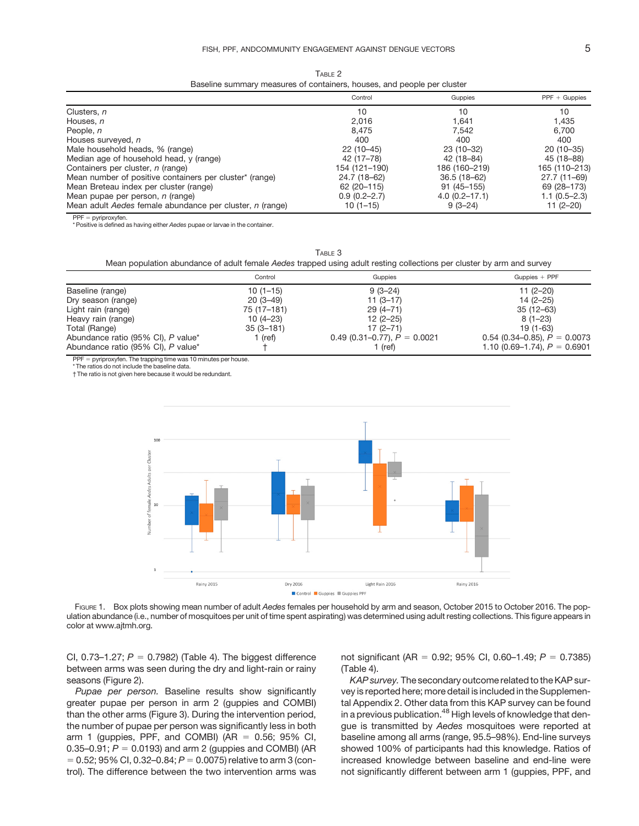TABLE 2 Baseline summary measures of containers, houses, and people per cluster

<span id="page-4-0"></span>

|                                                          | Control          | Guppies           | $PPF + Guppies$ |
|----------------------------------------------------------|------------------|-------------------|-----------------|
| Clusters, n                                              | 10               | 10                | 10              |
| Houses, n                                                | 2.016            | 1.641             | 1,435           |
| People, n                                                | 8.475            | 7.542             | 6,700           |
| Houses surveyed, n                                       | 400              | 400               | 400             |
| Male household heads, % (range)                          | $22(10-45)$      | $23(10-32)$       | $20(10-35)$     |
| Median age of household head, y (range)                  | 42 (17–78)       | 42 (18-84)        | 45 (18-88)      |
| Containers per cluster, <i>n</i> (range)                 | 154 (121–190)    | 186 (160-219)     | 165 (110-213)   |
| Mean number of positive containers per cluster* (range)  | 24.7 (18-62)     | $36.5(18-62)$     | $27.7(11 - 69)$ |
| Mean Breteau index per cluster (range)                   | 62 (20 - 115)    | $91(45 - 155)$    | 69 (28 - 173)   |
| Mean pupae per person, <i>n</i> (range)                  | $0.9(0.2 - 2.7)$ | $4.0(0.2 - 17.1)$ | $1.1(0.5-2.3)$  |
| Mean adult Aedes female abundance per cluster, n (range) | $10(1-15)$       | $9(3-24)$         | $11(2-20)$      |

 $PPF = pyriproxyfen.$ 

\* Positive is defined as having either Aedes pupae or larvae in the container.

TABLE 3

#### Mean population abundance of adult female Aedes trapped using adult resting collections per cluster by arm and survey

|                                    | Control       | Guppies                        | Guppies $+$ PPF                |
|------------------------------------|---------------|--------------------------------|--------------------------------|
| Baseline (range)                   | $10(1-15)$    | $9(3-24)$                      | $11(2-20)$                     |
| Dry season (range)                 | $20(3-49)$    | $11(3-17)$                     | $14(2 - 25)$                   |
| Light rain (range)                 | 75 (17–181)   | $29(4 - 71)$                   | $35(12 - 63)$                  |
| Heavy rain (range)                 | $10(4-23)$    | $12(2 - 25)$                   | $8(1 - 23)$                    |
| Total (Range)                      | $35(3 - 181)$ | $17(2 - 71)$                   | $19(1-63)$                     |
| Abundance ratio (95% CI), P value* | 1 (ref)       | 0.49 (0.31–0.77), $P = 0.0021$ | 0.54 (0.34–0.85), $P = 0.0073$ |
| Abundance ratio (95% CI), P value* |               | 1 (ref)                        | 1.10 (0.69–1.74), $P = 0.6901$ |

 $PPF =$  pyriproxyfen. The trapping time was 10 minutes per house.

\* The ratios do not include the baseline data.

† The ratio is not given here because it would be redundant.



FIGURE 1. Box plots showing mean number of adult Aedes females per household by arm and season, October 2015 to October 2016. The population abundance (i.e., number of mosquitoes per unit of time spent aspirating) was determined using adult resting collections. This figure appears in color at [www.ajtmh.org](http://www.ajtmh.org).

CI, 0.73-1.27;  $P = 0.7982$ ) [\(Table 4\)](#page-5-0). The biggest difference between arms was seen during the dry and light-rain or rainy seasons [\(Figure 2](#page-5-0)).

Pupae per person. Baseline results show significantly greater pupae per person in arm 2 (guppies and COMBI) than the other arms [\(Figure 3\)](#page-6-0). During the intervention period, the number of pupae per person was significantly less in both arm 1 (guppies, PPF, and COMBI) ( $AR = 0.56$ ; 95% CI, 0.35–0.91;  $P = 0.0193$ ) and arm 2 (guppies and COMBI) (AR  $= 0.52$ ; 95% CI, 0.32–0.84;  $P = 0.0075$ ) relative to arm 3 (control). The difference between the two intervention arms was not significant (AR = 0.92; 95% CI, 0.60–1.49;  $P = 0.7385$ ) [\(Table 4](#page-5-0)).

KAP survey. The secondary outcome related to the KAP survey is reported here; more detail is included in the Supplemental Appendix 2. Other data from this KAP survey can be found in a previous publication.<sup>48</sup> High levels of knowledge that dengue is transmitted by Aedes mosquitoes were reported at baseline among all arms (range, 95.5–98%). End-line surveys showed 100% of participants had this knowledge. Ratios of increased knowledge between baseline and end-line were not significantly different between arm 1 (guppies, PPF, and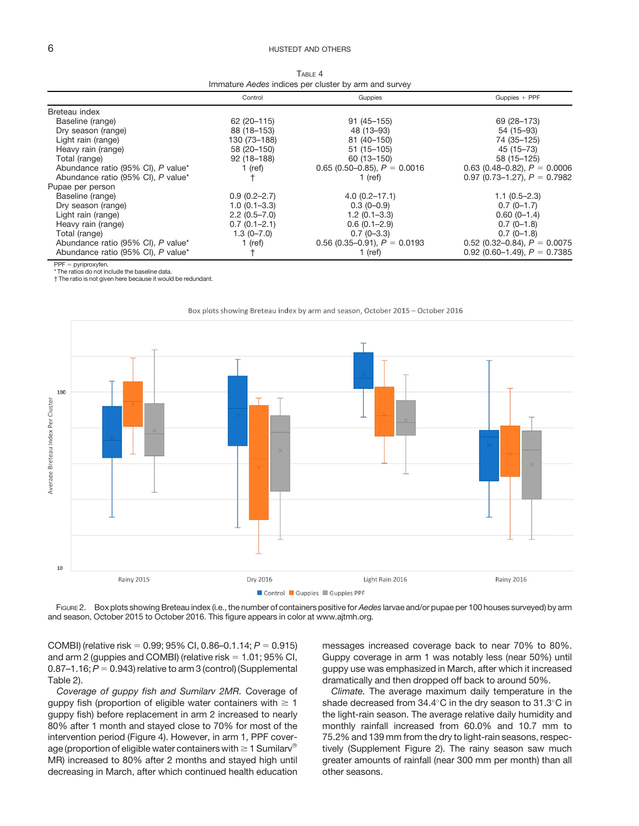## <span id="page-5-0"></span>6 **6** HUSTEDT AND OTHERS

 $T = 4$ Immature Aedes indices per cluster by arm and survey

|                                    | Control          | Guppies                        | $Guppies + PPF$                |
|------------------------------------|------------------|--------------------------------|--------------------------------|
| Breteau index                      |                  |                                |                                |
| Baseline (range)                   | 62 (20 - 115)    | $91(45 - 155)$                 | 69 (28 - 173)                  |
| Dry season (range)                 | 88 (18-153)      | 48 (13-93)                     | 54 (15-93)                     |
| Light rain (range)                 | 130 (73-188)     | 81 (40-150)                    | 74 (35-125)                    |
| Heavy rain (range)                 | 58 (20-150)      | $51(15 - 105)$                 | 45 (15-73)                     |
| Total (range)                      | $92(18 - 188)$   | 60 (13-150)                    | 58 (15-125)                    |
| Abundance ratio (95% CI), P value* | 1 (ref)          | 0.65 (0.50–0.85), $P = 0.0016$ | 0.63 (0.48–0.82), $P = 0.0006$ |
| Abundance ratio (95% CI), P value* |                  | 1 (ref)                        | 0.97 (0.73–1.27), $P = 0.7982$ |
| Pupae per person                   |                  |                                |                                |
| Baseline (range)                   | $0.9(0.2 - 2.7)$ | $4.0(0.2 - 17.1)$              | $1.1(0.5-2.3)$                 |
| Dry season (range)                 | $1.0(0.1 - 3.3)$ | $0.3(0-0.9)$                   | $0.7(0-1.7)$                   |
| Light rain (range)                 | $2.2(0.5 - 7.0)$ | $1.2(0.1 - 3.3)$               | $0.60(0-1.4)$                  |
| Heavy rain (range)                 | $0.7(0.1 - 2.1)$ | $0.6(0.1 - 2.9)$               | $0.7(0-1.8)$                   |
| Total (range)                      | $1.3(0 - 7.0)$   | $0.7(0-3.3)$                   | $0.7(0-1.8)$                   |
| Abundance ratio (95% CI), P value* | 1 (ref)          | 0.56 (0.35–0.91), $P = 0.0193$ | 0.52 (0.32–0.84), $P = 0.0075$ |
| Abundance ratio (95% CI), P value* |                  | 1 (ref)                        | 0.92 (0.60–1.49), $P = 0.7385$ |

 $PPF = pyriproxyfen.$ 

\* The ratios do not include the baseline data. † The ratio is not given here because it would be redundant.



Box plots showing Breteau index by arm and season, October 2015 - October 2016

FIGURE 2. Box plots showing Breteau index (i.e., the number of containers positive for Aedes larvae and/or pupae per 100 houses surveyed) by arm and season, October 2015 to October 2016. This figure appears in color at [www.ajtmh.org.](http://www.ajtmh.org)

COMBI) (relative risk = 0.99; 95% CI, 0.86–0.1.14;  $P = 0.915$ ) and arm 2 (guppies and COMBI) (relative risk  $= 1.01$ ; 95% CI, 0.87–1.16;  $P = 0.943$  relative to arm 3 (control) (Supplemental Table 2).

Coverage of guppy fish and Sumilarv 2MR. Coverage of guppy fish (proportion of eligible water containers with  $\geq 1$ guppy fish) before replacement in arm 2 increased to nearly 80% after 1 month and stayed close to 70% for most of the intervention period [\(Figure 4\)](#page-6-0). However, in arm 1, PPF coverage (proportion of eligible water containers with  $\geq 1$  Sumilary<sup>®</sup> MR) increased to 80% after 2 months and stayed high until decreasing in March, after which continued health education

messages increased coverage back to near 70% to 80%. Guppy coverage in arm 1 was notably less (near 50%) until guppy use was emphasized in March, after which it increased dramatically and then dropped off back to around 50%.

Climate. The average maximum daily temperature in the shade decreased from  $34.4^{\circ}$ C in the dry season to  $31.3^{\circ}$ C in the light-rain season. The average relative daily humidity and monthly rainfall increased from 60.0% and 10.7 mm to 75.2% and 139 mm from the dry to light-rain seasons, respectively (Supplement Figure 2). The rainy season saw much greater amounts of rainfall (near 300 mm per month) than all other seasons.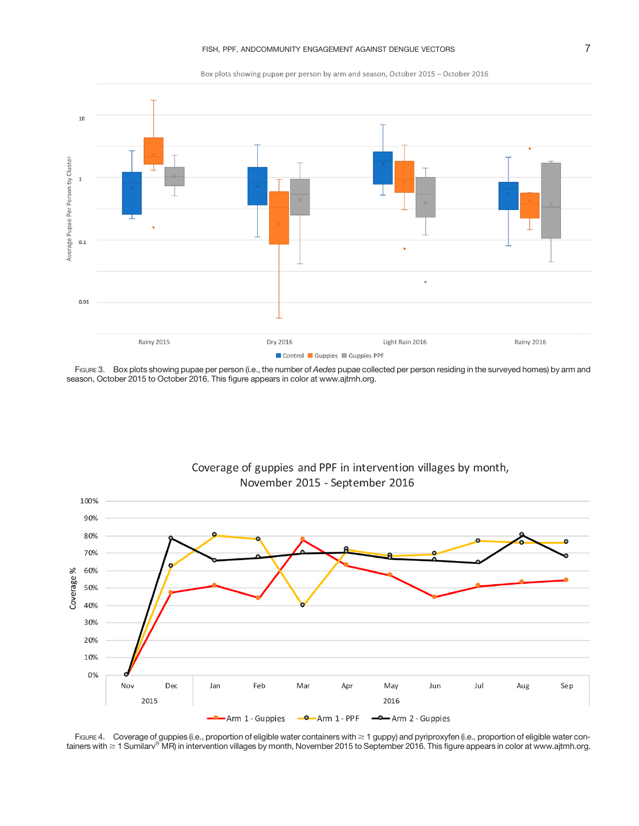Box plots showing pupae per person by arm and season, October 2015 - October 2016

<span id="page-6-0"></span>

FIGURE 3. Box plots showing pupae per person (i.e., the number of Aedes pupae collected per person residing in the surveyed homes) by arm and season, October 2015 to October 2016. This figure appears in color at [www.ajtmh.org.](http://www.ajtmh.org)



Coverage of guppies and PPF in intervention villages by month, November 2015 - September 2016

FIGURE 4. Coverage of guppies (i.e., proportion of eligible water containers with  $\geq 1$  guppy) and pyriproxyfen (i.e., proportion of eligible water containers with  $\geq$  1 Sumilarv® MR) in intervention villages by month, November 2015 to September 2016. This figure appears in color at [www.ajtmh.org.](http://www.ajtmh.org)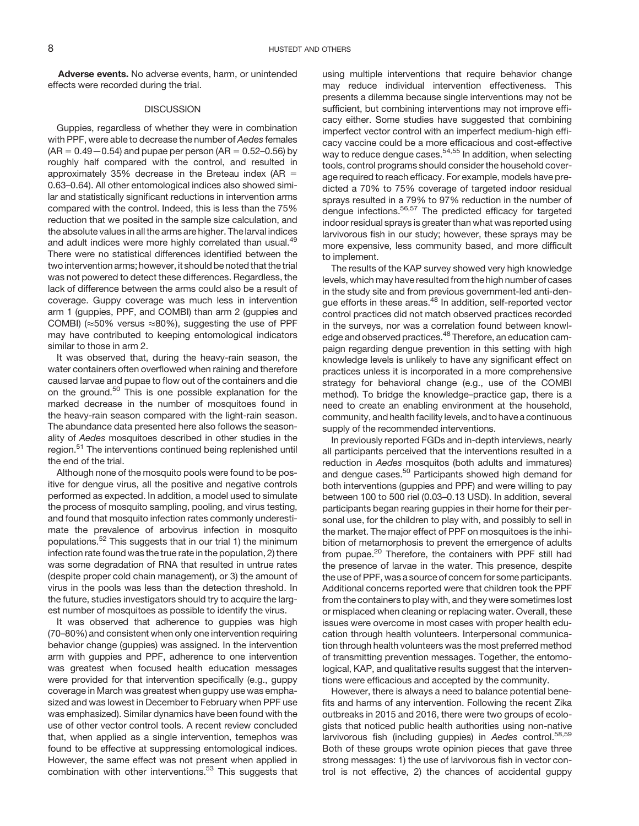Adverse events. No adverse events, harm, or unintended effects were recorded during the trial.

## DISCUSSION

Guppies, regardless of whether they were in combination with PPF, were able to decrease the number of Aedes females  $(AR = 0.49 - 0.54)$  and pupae per person  $(AR = 0.52 - 0.56)$  by roughly half compared with the control, and resulted in approximately 35% decrease in the Breteau index (AR  $=$ 0.63–0.64). All other entomological indices also showed similar and statistically significant reductions in intervention arms compared with the control. Indeed, this is less than the 75% reduction that we posited in the sample size calculation, and the absolute values in all the arms are higher. The larval indices and adult indices were more highly correlated than usual.<sup>[49](#page-10-0)</sup> There were no statistical differences identified between the two intervention arms; however, it should be noted that the trial was not powered to detect these differences. Regardless, the lack of difference between the arms could also be a result of coverage. Guppy coverage was much less in intervention arm 1 (guppies, PPF, and COMBI) than arm 2 (guppies and COMBI) ( $\approx$ 50% versus  $\approx$ 80%), suggesting the use of PPF may have contributed to keeping entomological indicators similar to those in arm 2.

It was observed that, during the heavy-rain season, the water containers often overflowed when raining and therefore caused larvae and pupae to flow out of the containers and die on the ground.<sup>[50](#page-10-0)</sup> This is one possible explanation for the marked decrease in the number of mosquitoes found in the heavy-rain season compared with the light-rain season. The abundance data presented here also follows the seasonality of Aedes mosquitoes described in other studies in the region.<sup>51</sup> The interventions continued being replenished until the end of the trial.

Although none of the mosquito pools were found to be positive for dengue virus, all the positive and negative controls performed as expected. In addition, a model used to simulate the process of mosquito sampling, pooling, and virus testing, and found that mosquito infection rates commonly underestimate the prevalence of arbovirus infection in mosquito populations.[52](#page-11-0) This suggests that in our trial 1) the minimum infection rate found was the true rate in the population, 2) there was some degradation of RNA that resulted in untrue rates (despite proper cold chain management), or 3) the amount of virus in the pools was less than the detection threshold. In the future, studies investigators should try to acquire the largest number of mosquitoes as possible to identify the virus.

It was observed that adherence to guppies was high (70–80%) and consistent when only one intervention requiring behavior change (guppies) was assigned. In the intervention arm with guppies and PPF, adherence to one intervention was greatest when focused health education messages were provided for that intervention specifically (e.g., guppy coverage in March was greatest when guppy use was emphasized and was lowest in December to February when PPF use was emphasized). Similar dynamics have been found with the use of other vector control tools. A recent review concluded that, when applied as a single intervention, temephos was found to be effective at suppressing entomological indices. However, the same effect was not present when applied in combination with other interventions.<sup>53</sup> This suggests that using multiple interventions that require behavior change may reduce individual intervention effectiveness. This presents a dilemma because single interventions may not be sufficient, but combining interventions may not improve efficacy either. Some studies have suggested that combining imperfect vector control with an imperfect medium-high efficacy vaccine could be a more efficacious and cost-effective way to reduce dengue cases.<sup>54,55</sup> In addition, when selecting tools, control programs should consider the household coverage required to reach efficacy. For example, models have predicted a 70% to 75% coverage of targeted indoor residual sprays resulted in a 79% to 97% reduction in the number of dengue infections.[56](#page-11-0),[57](#page-11-0) The predicted efficacy for targeted indoor residual sprays is greater than what was reported using larvivorous fish in our study; however, these sprays may be more expensive, less community based, and more difficult to implement.

The results of the KAP survey showed very high knowledge levels, which may have resulted from the high number of cases in the study site and from previous government-led anti-dengue efforts in these areas.<sup>48</sup> In addition, self-reported vector control practices did not match observed practices recorded in the surveys, nor was a correlation found between knowledge and observed practices.<sup>48</sup> Therefore, an education campaign regarding dengue prevention in this setting with high knowledge levels is unlikely to have any significant effect on practices unless it is incorporated in a more comprehensive strategy for behavioral change (e.g., use of the COMBI method). To bridge the knowledge–practice gap, there is a need to create an enabling environment at the household, community, and health facility levels, and to have a continuous supply of the recommended interventions.

In previously reported FGDs and in-depth interviews, nearly all participants perceived that the interventions resulted in a reduction in Aedes mosquitos (both adults and immatures) and dengue cases.<sup>50</sup> Participants showed high demand for both interventions (guppies and PPF) and were willing to pay between 100 to 500 riel (0.03–0.13 USD). In addition, several participants began rearing guppies in their home for their personal use, for the children to play with, and possibly to sell in the market. The major effect of PPF on mosquitoes is the inhibition of metamorphosis to prevent the emergence of adults from pupae.<sup>[20](#page-10-0)</sup> Therefore, the containers with PPF still had the presence of larvae in the water. This presence, despite the use of PPF, was a source of concern for some participants. Additional concerns reported were that children took the PPF from the containers to play with, and they were sometimes lost or misplaced when cleaning or replacing water. Overall, these issues were overcome in most cases with proper health education through health volunteers. Interpersonal communication through health volunteers was the most preferred method of transmitting prevention messages. Together, the entomological, KAP, and qualitative results suggest that the interventions were efficacious and accepted by the community.

However, there is always a need to balance potential benefits and harms of any intervention. Following the recent Zika outbreaks in 2015 and 2016, there were two groups of ecologists that noticed public health authorities using non-native larvivorous fish (including guppies) in Aedes control.<sup>58,59</sup> Both of these groups wrote opinion pieces that gave three strong messages: 1) the use of larvivorous fish in vector control is not effective, 2) the chances of accidental guppy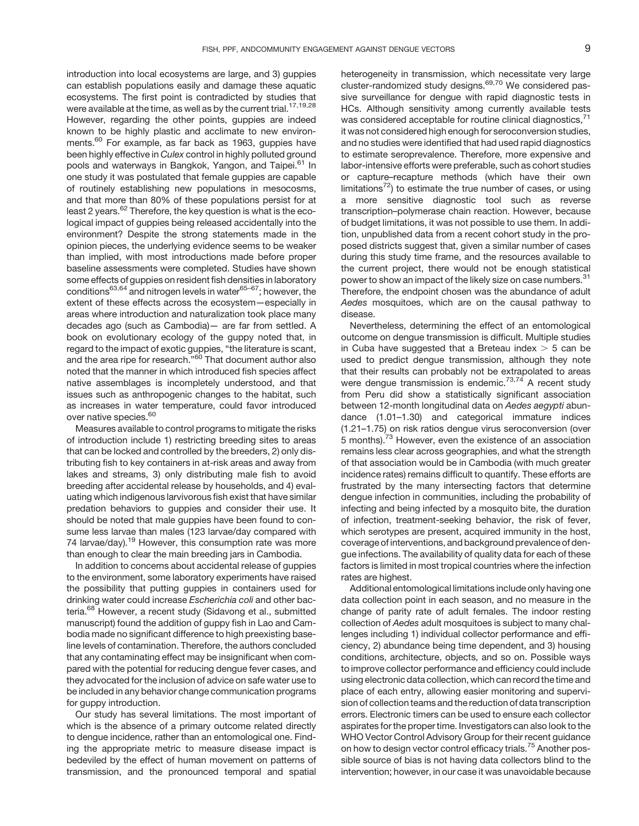introduction into local ecosystems are large, and 3) guppies can establish populations easily and damage these aquatic ecosystems. The first point is contradicted by studies that were available at the time, as well as by the current trial.<sup>[17,19,28](#page-10-0)</sup> However, regarding the other points, guppies are indeed known to be highly plastic and acclimate to new environ-ments.<sup>[60](#page-11-0)</sup> For example, as far back as 1963, guppies have been highly effective in Culex control in highly polluted ground pools and waterways in Bangkok, Yangon, and Taipei.<sup>[61](#page-11-0)</sup> In one study it was postulated that female guppies are capable of routinely establishing new populations in mesocosms, and that more than 80% of these populations persist for at least 2 years.<sup>62</sup> Therefore, the key question is what is the ecological impact of guppies being released accidentally into the environment? Despite the strong statements made in the opinion pieces, the underlying evidence seems to be weaker than implied, with most introductions made before proper baseline assessments were completed. Studies have shown some effects of guppies on resident fish densities in laboratory conditions $63,64$  and nitrogen levels in water $65-67$  $65-67$  $65-67$ ; however, the extent of these effects across the ecosystem—especially in areas where introduction and naturalization took place many decades ago (such as Cambodia)— are far from settled. A book on evolutionary ecology of the guppy noted that, in regard to the impact of exotic guppies, "the literature is scant, and the area ripe for research."<sup>[60](#page-11-0)</sup> That document author also noted that the manner in which introduced fish species affect native assemblages is incompletely understood, and that issues such as anthropogenic changes to the habitat, such as increases in water temperature, could favor introduced over native species.<sup>60</sup>

Measures available to control programs to mitigate the risks of introduction include 1) restricting breeding sites to areas that can be locked and controlled by the breeders, 2) only distributing fish to key containers in at-risk areas and away from lakes and streams, 3) only distributing male fish to avoid breeding after accidental release by households, and 4) evaluating which indigenous larvivorous fish exist that have similar predation behaviors to guppies and consider their use. It should be noted that male guppies have been found to consume less larvae than males (123 larvae/day compared with 74 larvae/day).<sup>19</sup> However, this consumption rate was more than enough to clear the main breeding jars in Cambodia.

In addition to concerns about accidental release of guppies to the environment, some laboratory experiments have raised the possibility that putting guppies in containers used for drinking water could increase Escherichia coli and other bacteria.<sup>68</sup> However, a recent study (Sidavong et al., submitted manuscript) found the addition of guppy fish in Lao and Cambodia made no significant difference to high preexisting baseline levels of contamination. Therefore, the authors concluded that any contaminating effect may be insignificant when compared with the potential for reducing dengue fever cases, and they advocated for the inclusion of advice on safe water use to be included in any behavior change communication programs for guppy introduction.

Our study has several limitations. The most important of which is the absence of a primary outcome related directly to dengue incidence, rather than an entomological one. Finding the appropriate metric to measure disease impact is bedeviled by the effect of human movement on patterns of transmission, and the pronounced temporal and spatial heterogeneity in transmission, which necessitate very large cluster-randomized study designs.<sup>69,70</sup> We considered passive surveillance for dengue with rapid diagnostic tests in HCs. Although sensitivity among currently available tests was considered acceptable for routine clinical diagnostics, [71](#page-11-0) it was not considered high enough for seroconversion studies, and no studies were identified that had used rapid diagnostics to estimate seroprevalence. Therefore, more expensive and labor-intensive efforts were preferable, such as cohort studies or capture–recapture methods (which have their own limitations<sup>72</sup>) to estimate the true number of cases, or using a more sensitive diagnostic tool such as reverse transcription–polymerase chain reaction. However, because of budget limitations, it was not possible to use them. In addition, unpublished data from a recent cohort study in the proposed districts suggest that, given a similar number of cases during this study time frame, and the resources available to the current project, there would not be enough statistical power to show an impact of the likely size on case numbers.<sup>[31](#page-10-0)</sup> Therefore, the endpoint chosen was the abundance of adult Aedes mosquitoes, which are on the causal pathway to disease.

Nevertheless, determining the effect of an entomological outcome on dengue transmission is difficult. Multiple studies in Cuba have suggested that a Breteau index  $>$  5 can be used to predict dengue transmission, although they note that their results can probably not be extrapolated to areas were dengue transmission is endemic.<sup>[73,74](#page-11-0)</sup> A recent study from Peru did show a statistically significant association between 12-month longitudinal data on Aedes aegypti abundance (1.01–1.30) and categorical immature indices (1.21–1.75) on risk ratios dengue virus seroconversion (over 5 months).<sup>73</sup> However, even the existence of an association remains less clear across geographies, and what the strength of that association would be in Cambodia (with much greater incidence rates) remains difficult to quantify. These efforts are frustrated by the many intersecting factors that determine dengue infection in communities, including the probability of infecting and being infected by a mosquito bite, the duration of infection, treatment-seeking behavior, the risk of fever, which serotypes are present, acquired immunity in the host, coverage of interventions, and background prevalence of dengue infections. The availability of quality data for each of these factors is limited in most tropical countries where the infection rates are highest.

Additional entomological limitations include only having one data collection point in each season, and no measure in the change of parity rate of adult females. The indoor resting collection of Aedes adult mosquitoes is subject to many challenges including 1) individual collector performance and efficiency, 2) abundance being time dependent, and 3) housing conditions, architecture, objects, and so on. Possible ways to improve collector performance and efficiency could include using electronic data collection, which can record the time and place of each entry, allowing easier monitoring and supervision of collection teams and the reduction of data transcription errors. Electronic timers can be used to ensure each collector aspirates for the proper time. Investigators can also look to the WHO Vector Control Advisory Group for their recent guidance on how to design vector control efficacy trials.<sup>[75](#page-11-0)</sup> Another possible source of bias is not having data collectors blind to the intervention; however, in our case it was unavoidable because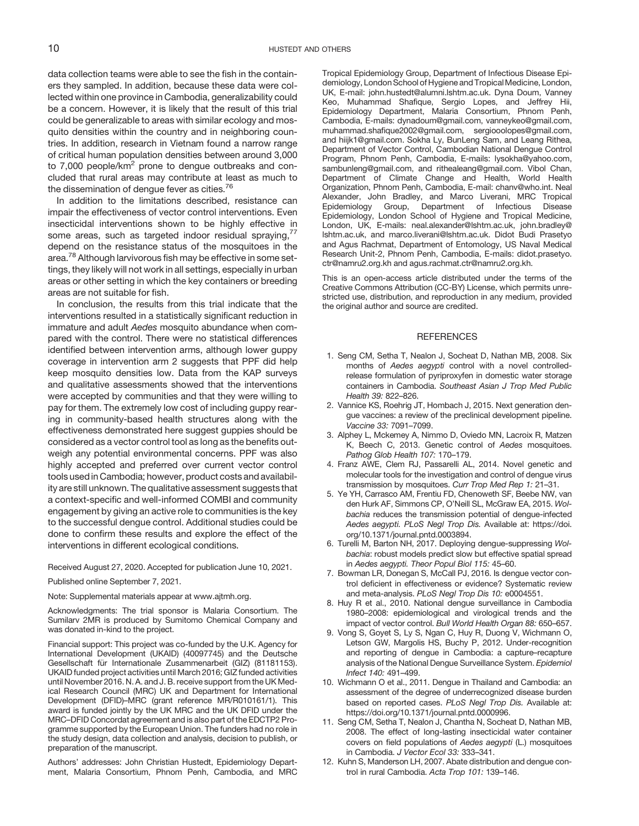<span id="page-9-0"></span>data collection teams were able to see the fish in the containers they sampled. In addition, because these data were collected within one province in Cambodia, generalizability could be a concern. However, it is likely that the result of this trial could be generalizable to areas with similar ecology and mosquito densities within the country and in neighboring countries. In addition, research in Vietnam found a narrow range of critical human population densities between around 3,000 to  $7,000$  people/km<sup>2</sup> prone to dengue outbreaks and concluded that rural areas may contribute at least as much to the dissemination of dengue fever as cities.<sup>76</sup>

In addition to the limitations described, resistance can impair the effectiveness of vector control interventions. Even insecticidal interventions shown to be highly effective in some areas, such as targeted indoor residual spraying, $77$ depend on the resistance status of the mosquitoes in the area.<sup>[78](#page-11-0)</sup> Although larvivorous fish may be effective in some settings, they likely will not work in all settings, especially in urban areas or other setting in which the key containers or breeding areas are not suitable for fish.

In conclusion, the results from this trial indicate that the interventions resulted in a statistically significant reduction in immature and adult Aedes mosquito abundance when compared with the control. There were no statistical differences identified between intervention arms, although lower guppy coverage in intervention arm 2 suggests that PPF did help keep mosquito densities low. Data from the KAP surveys and qualitative assessments showed that the interventions were accepted by communities and that they were willing to pay for them. The extremely low cost of including guppy rearing in community-based health structures along with the effectiveness demonstrated here suggest guppies should be considered as a vector control tool as long as the benefits outweigh any potential environmental concerns. PPF was also highly accepted and preferred over current vector control tools used in Cambodia; however, product costs and availability are still unknown. The qualitative assessment suggests that a context-specific and well-informed COMBI and community engagement by giving an active role to communities is the key to the successful dengue control. Additional studies could be done to confirm these results and explore the effect of the interventions in different ecological conditions.

Received August 27, 2020. Accepted for publication June 10, 2021.

Published online September 7, 2021.

Note: Supplemental materials appear at [www.ajtmh.org.](http://www.ajtmh.org)

Acknowledgments: The trial sponsor is Malaria Consortium. The Sumilarv 2MR is produced by Sumitomo Chemical Company and was donated in-kind to the project.

Financial support: This project was co-funded by the U.K. Agency for International Development (UKAID) (40097745) and the Deutsche Gesellschaft für Internationale Zusammenarbeit (GIZ) (81181153). UKAID funded project activities until March 2016; GIZ funded activities until November 2016. N. A. and J. B. receive support from the UK Medical Research Council (MRC) UK and Department for International Development (DFID)–MRC (grant reference MR/R010161/1). This award is funded jointly by the UK MRC and the UK DFID under the MRC–DFID Concordat agreement and is also part of the EDCTP2 Programme supported by the European Union. The funders had no role in the study design, data collection and analysis, decision to publish, or preparation of the manuscript.

Authors' addresses: John Christian Hustedt, Epidemiology Department, Malaria Consortium, Phnom Penh, Cambodia, and MRC Tropical Epidemiology Group, Department of Infectious Disease Epidemiology, London School of Hygiene and Tropical Medicine, London, UK, E-mail: [john.hustedt@alumni.lshtm.ac.uk](mailto:john.hustedt@alumni.lshtm.ac.uk). Dyna Doum, Vanney Keo, Muhammad Shafique, Sergio Lopes, and Jeffrey Hii, Epidemiology Department, Malaria Consortium, Phnom Penh, Cambodia, E-mails: [dynadoum@gmail.com,](mailto:dynadoum@gmail.com) [vanneykeo@gmail.com](mailto:vanneykeo@gmail.com), [muhammad.shafique2002@gmail.com,](mailto:muhammad.shafique2002@gmail.com) [sergiooolopes@gmail.com](mailto:sergiooolopes@gmail.com), and [hiijk1@gmail.com](mailto:hiijk1@gmail.com). Sokha Ly, BunLeng Sam, and Leang Rithea, Department of Vector Control, Cambodian National Dengue Control Program, Phnom Penh, Cambodia, E-mails: [lysokha@yahoo.com](mailto:lysokha@yahoo.com), [sambunleng@gmail.com,](mailto:sambunleng@gmail.com) and [rithealeang@gmail.com](mailto:rithealeang@gmail.com). Vibol Chan, Department of Climate Change and Health, World Health Organization, Phnom Penh, Cambodia, E-mail: [chanv@who.int.](mailto:chanv@who.int) Neal Alexander, John Bradley, and Marco Liverani, MRC Tropical Epidemiology Group, Department of Infectious Disease Epidemiology, London School of Hygiene and Tropical Medicine, London, UK, E-mails: [neal.alexander@lshtm.ac.uk,](mailto:neal.alexander@lshtm.ac.uk) [john.bradley@](mailto:john.bradley@lshtm.ac.uk) [lshtm.ac.uk](mailto:john.bradley@lshtm.ac.uk), and [marco.liverani@lshtm.ac.uk.](mailto:marco.liverani@lshtm.ac.uk) Didot Budi Prasetyo and Agus Rachmat, Department of Entomology, US Naval Medical Research Unit-2, Phnom Penh, Cambodia, E-mails: [didot.prasetyo.](mailto:didot.prasetyo.ctr@namru2.org.kh) [ctr@namru2.org.kh](mailto:didot.prasetyo.ctr@namru2.org.kh) and [agus.rachmat.ctr@namru2.org.kh.](mailto:agus.rachmat.ctr@namru2.org.kh)

This is an open-access article distributed under the terms of the [Creative Commons Attribution \(CC-BY\) License,](https://creativecommons.org/licenses/by/4.0/) which permits unrestricted use, distribution, and reproduction in any medium, provided the original author and source are credited.

## **REFERENCES**

- 1. Seng CM, Setha T, Nealon J, Socheat D, Nathan MB, 2008. Six months of Aedes aegypti control with a novel controlledrelease formulation of pyriproxyfen in domestic water storage containers in Cambodia. Southeast Asian J Trop Med Public Health 39: 822–826.
- 2. Vannice KS, Roehrig JT, Hombach J, 2015. Next generation dengue vaccines: a review of the preclinical development pipeline. Vaccine 33: 7091–7099.
- 3. Alphey L, Mckemey A, Nimmo D, Oviedo MN, Lacroix R, Matzen K, Beech C, 2013. Genetic control of Aedes mosquitoes. Pathog Glob Health 107: 170–179.
- 4. Franz AWE, Clem RJ, Passarelli AL, 2014. Novel genetic and molecular tools for the investigation and control of dengue virus transmission by mosquitoes. Curr Trop Med Rep 1: 21–31.
- 5. Ye YH, Carrasco AM, Frentiu FD, Chenoweth SF, Beebe NW, van den Hurk AF, Simmons CP, O'Neill SL, McGraw EA, 2015. Wolbachia reduces the transmission potential of dengue-infected Aedes aegypti. PLoS Negl Trop Dis. Available at: [https://doi.](https://doi.org/10.1371/journal.pntd.0003894) [org/10.1371/journal.pntd.0003894.](https://doi.org/10.1371/journal.pntd.0003894)
- 6. Turelli M, Barton NH, 2017. Deploying dengue-suppressing Wolbachia: robust models predict slow but effective spatial spread in Aedes aegypti. Theor Popul Biol 115: 45–60.
- 7. Bowman LR, Donegan S, McCall PJ, 2016. Is dengue vector control deficient in effectiveness or evidence? Systematic review and meta-analysis. PLoS Negl Trop Dis 10: e0004551.
- 8. Huy R et al., 2010. National dengue surveillance in Cambodia 1980–2008: epidemiological and virological trends and the impact of vector control. Bull World Health Organ 88: 650–657.
- 9. Vong S, Goyet S, Ly S, Ngan C, Huy R, Duong V, Wichmann O, Letson GW, Margolis HS, Buchy P, 2012. Under-recognition and reporting of dengue in Cambodia: a capture–recapture analysis of the National Dengue Surveillance System. Epidemiol Infect 140: 491–499.
- 10. Wichmann O et al., 2011. Dengue in Thailand and Cambodia: an assessment of the degree of underrecognized disease burden based on reported cases. PLoS Negl Trop Dis. Available at: <https://doi.org/10.1371/journal.pntd.0000996>.
- 11. Seng CM, Setha T, Nealon J, Chantha N, Socheat D, Nathan MB, 2008. The effect of long-lasting insecticidal water container covers on field populations of Aedes aegypti (L.) mosquitoes in Cambodia. J Vector Ecol 33: 333–341.
- 12. Kuhn S, Manderson LH, 2007. Abate distribution and dengue control in rural Cambodia. Acta Trop 101: 139–146.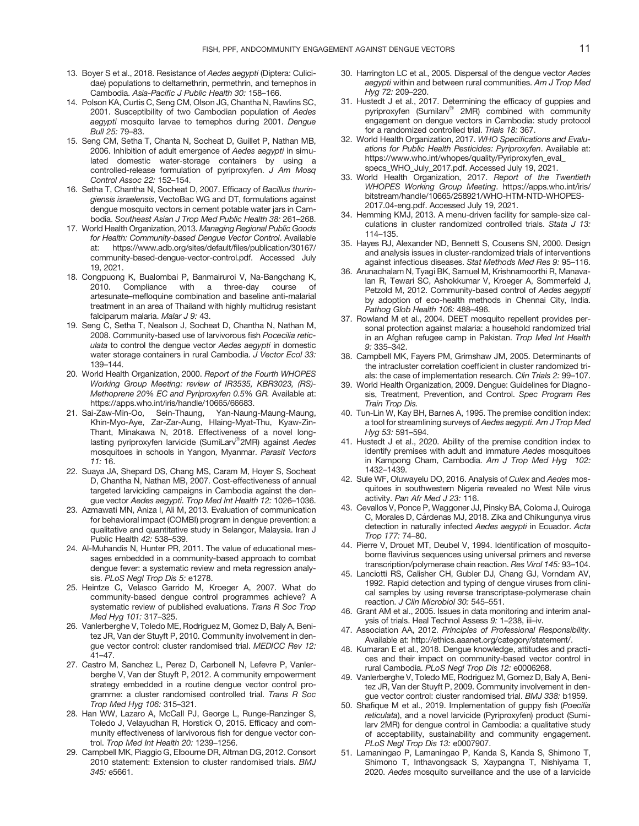- <span id="page-10-0"></span>13. Boyer S et al., 2018. Resistance of Aedes aegypti (Diptera: Culicidae) populations to deltamethrin, permethrin, and temephos in Cambodia. Asia-Pacific J Public Health 30: 158–166.
- 14. Polson KA, Curtis C, Seng CM, Olson JG, Chantha N, Rawlins SC, 2001. Susceptibility of two Cambodian population of Aedes aegypti mosquito larvae to temephos during 2001. Dengue Bull 25: 79–83.
- 15. Seng CM, Setha T, Chanta N, Socheat D, Guillet P, Nathan MB, 2006. Inhibition of adult emergence of Aedes aegypti in simulated domestic water-storage containers by using a controlled-release formulation of pyriproxyfen. J Am Mosq Control Assoc 22: 152–154.
- 16. Setha T, Chantha N, Socheat D, 2007. Efficacy of Bacillus thuringiensis israelensis, VectoBac WG and DT, formulations against dengue mosquito vectors in cement potable water jars in Cambodia. Southeast Asian J Trop Med Public Health 38: 261–268.
- 17. World Health Organization, 2013. Managing Regional Public Goods for Health: Community-based Dengue Vector Control. Available at: [https://www.adb.org/sites/default/](https://www.adb.org/sites/default/files/publication/30167/community-based-dengue-vector-control.pdf)files/publication/30167/ [community-based-dengue-vector-control.pdf](https://www.adb.org/sites/default/files/publication/30167/community-based-dengue-vector-control.pdf). Accessed July 19, 2021.
- 18. Congpuong K, Bualombai P, Banmairuroi V, Na-Bangchang K, 2010. Compliance with a three-day course artesunate–mefloquine combination and baseline anti-malarial treatment in an area of Thailand with highly multidrug resistant falciparum malaria. Malar J 9: 43.
- 19. Seng C, Setha T, Nealson J, Socheat D, Chantha N, Nathan M, 2008. Community-based use of larvivorous fish Pocecilia reticulata to control the dengue vector Aedes aegypti in domestic water storage containers in rural Cambodia. J Vector Ecol 33: 139–144.
- 20. World Health Organization, 2000. Report of the Fourth WHOPES Working Group Meeting: review of IR3535, KBR3023, (RS)- Methoprene 20% EC and Pyriproxyfen 0.5% GR. Available at: <https://apps.who.int/iris/handle/10665/66683>.
- 21. Sai-Zaw-Min-Oo, Sein-Thaung, Yan-Naung-Maung-Maung, Khin-Myo-Aye, Zar-Zar-Aung, Hlaing-Myat-Thu, Kyaw-Zin-Thant, Minakawa N, 2018. Effectiveness of a novel longlasting pyriproxyfen larvicide (SumiLarv<sup>®</sup>2MR) against Aedes mosquitoes in schools in Yangon, Myanmar. Parasit Vectors 11: 16.
- 22. Suaya JA, Shepard DS, Chang MS, Caram M, Hoyer S, Socheat D, Chantha N, Nathan MB, 2007. Cost-effectiveness of annual targeted larviciding campaigns in Cambodia against the dengue vector Aedes aegypti. Trop Med Int Health 12: 1026–1036.
- 23. Azmawati MN, Aniza I, Ali M, 2013. Evaluation of communication for behavioral impact (COMBI) program in dengue prevention: a qualitative and quantitative study in Selangor, Malaysia. Iran J Public Health 42: 538–539.
- 24. Al-Muhandis N, Hunter PR, 2011. The value of educational messages embedded in a community-based approach to combat dengue fever: a systematic review and meta regression analysis. PLoS Negl Trop Dis 5: e1278.
- 25. Heintze C, Velasco Garrido M, Kroeger A, 2007. What do community-based dengue control programmes achieve? A systematic review of published evaluations. Trans R Soc Trop Med Hyg 101: 317–325.
- 26. Vanlerberghe V, Toledo ME, Rodriguez M, Gomez D, Baly A, Benitez JR, Van der Stuyft P, 2010. Community involvement in dengue vector control: cluster randomised trial. MEDICC Rev 12: 41–47.
- 27. Castro M, Sanchez L, Perez D, Carbonell N, Lefevre P, Vanlerberghe V, Van der Stuyft P, 2012. A community empowerment strategy embedded in a routine dengue vector control programme: a cluster randomised controlled trial. Trans R Soc Trop Med Hyg 106: 315–321.
- 28. Han WW, Lazaro A, McCall PJ, George L, Runge-Ranzinger S, Toledo J, Velayudhan R, Horstick O, 2015. Efficacy and community effectiveness of larvivorous fish for dengue vector control. Trop Med Int Health 20: 1239–1256.
- 29. Campbell MK, Piaggio G, Elbourne DR, Altman DG, 2012. Consort 2010 statement: Extension to cluster randomised trials. BMJ 345: e5661.
- 30. Harrington LC et al., 2005. Dispersal of the dengue vector Aedes aegypti within and between rural communities. Am J Trop Med Hyg 72: 209–220.
- 31. Hustedt J et al., 2017. Determining the efficacy of guppies and pyriproxyfen (Sumilarv<sup>®</sup> 2MR) combined with community engagement on dengue vectors in Cambodia: study protocol for a randomized controlled trial. Trials 18: 367.
- 32. World Health Organization, 2017. WHO Specifications and Evaluations for Public Health Pesticides: Pyriproxyfen. Available at: [https://www.who.int/whopes/quality/Pyriproxyfen\\_eval\\_](https://www.who.int/whopes/quality/Pyriproxyfen_eval_specs_WHO_July_2017.pdf) [specs\\_WHO\\_July\\_2017.pdf.](https://www.who.int/whopes/quality/Pyriproxyfen_eval_specs_WHO_July_2017.pdf) Accessed July 19, 2021.
- 33. World Health Organization, 2017. Report of the Twentieth WHOPES Working Group Meeting. [https://apps.who.int/iris/](https://apps.who.int/iris/bitstream/handle/10665/258921/WHO-HTM-NTD-WHOPES-2017.04-eng.pdf) [bitstream/handle/10665/258921/WHO-HTM-NTD-WHOPES-](https://apps.who.int/iris/bitstream/handle/10665/258921/WHO-HTM-NTD-WHOPES-2017.04-eng.pdf)[2017.04-eng.pdf](https://apps.who.int/iris/bitstream/handle/10665/258921/WHO-HTM-NTD-WHOPES-2017.04-eng.pdf). Accessed July 19, 2021.
- 34. Hemming KMJ, 2013. A menu-driven facility for sample-size calculations in cluster randomized controlled trials. Stata J 13: 114–135.
- 35. Hayes RJ, Alexander ND, Bennett S, Cousens SN, 2000. Design and analysis issues in cluster-randomized trials of interventions against infectious diseases. Stat Methods Med Res 9: 95–116.
- 36. Arunachalam N, Tyagi BK, Samuel M, Krishnamoorthi R, Manavalan R, Tewari SC, Ashokkumar V, Kroeger A, Sommerfeld J, Petzold M, 2012. Community-based control of Aedes aegypti by adoption of eco-health methods in Chennai City, India. Pathog Glob Health 106: 488-496.
- 37. Rowland M et al., 2004. DEET mosquito repellent provides personal protection against malaria: a household randomized trial in an Afghan refugee camp in Pakistan. Trop Med Int Health 9: 335–342.
- 38. Campbell MK, Fayers PM, Grimshaw JM, 2005. Determinants of the intracluster correlation coefficient in cluster randomized trials: the case of implementation research. Clin Trials 2: 99–107.
- 39. World Health Organization, 2009. Dengue: Guidelines for Diagnosis, Treatment, Prevention, and Control. Spec Program Res Train Trop Dis.
- 40. Tun-Lin W, Kay BH, Barnes A, 1995. The premise condition index: a tool for streamlining surveys of Aedes aegypti. Am J Trop Med Hyg 53: 591–594.
- 41. Hustedt J et al., 2020. Ability of the premise condition index to identify premises with adult and immature Aedes mosquitoes in Kampong Cham, Cambodia. Am J Trop Med Hyg 102: 1432–1439.
- 42. Sule WF, Oluwayelu DO, 2016. Analysis of Culex and Aedes mosquitoes in southwestern Nigeria revealed no West Nile virus activity. Pan Afr Med J 23: 116.
- 43. Cevallos V, Ponce P, Waggoner JJ, Pinsky BA, Coloma J, Quiroga C, Morales D, Cárdenas MJ, 2018. Zika and Chikungunya virus detection in naturally infected Aedes aegypti in Ecuador. Acta Trop 177: 74–80.
- 44. Pierre V, Drouet MT, Deubel V, 1994. Identification of mosquitoborne flavivirus sequences using universal primers and reverse transcription/polymerase chain reaction. Res Virol 145: 93–104.
- 45. Lanciotti RS, Calisher CH, Gubler DJ, Chang GJ, Vorndam AV, 1992. Rapid detection and typing of dengue viruses from clinical samples by using reverse transcriptase-polymerase chain reaction. J Clin Microbiol 30: 545–551.
- 46. Grant AM et al., 2005. Issues in data monitoring and interim analysis of trials. Heal Technol Assess 9: 1–238, iii–iv.
- 47. Association AA, 2012. Principles of Professional Responsibility. Available at:<http://ethics.aaanet.org/category/statement/>.
- 48. Kumaran E et al., 2018. Dengue knowledge, attitudes and practices and their impact on community-based vector control in rural Cambodia. PLoS Negl Trop Dis 12: e0006268.
- 49. Vanlerberghe V, Toledo ME, Rodriguez M, Gomez D, Baly A, Benitez JR, Van der Stuyft P, 2009. Community involvement in dengue vector control: cluster randomised trial. BMJ 338: b1959.
- 50. Shafique M et al., 2019. Implementation of guppy fish (Poecilia reticulata), and a novel larvicide (Pyriproxyfen) product (Sumilarv 2MR) for dengue control in Cambodia: a qualitative study of acceptability, sustainability and community engagement. PLoS Negl Trop Dis 13: e0007907.
- 51. Lamaningao P, Lamaningao P, Kanda S, Kanda S, Shimono T, Shimono T, Inthavongsack S, Xaypangna T, Nishiyama T, 2020. Aedes mosquito surveillance and the use of a larvicide